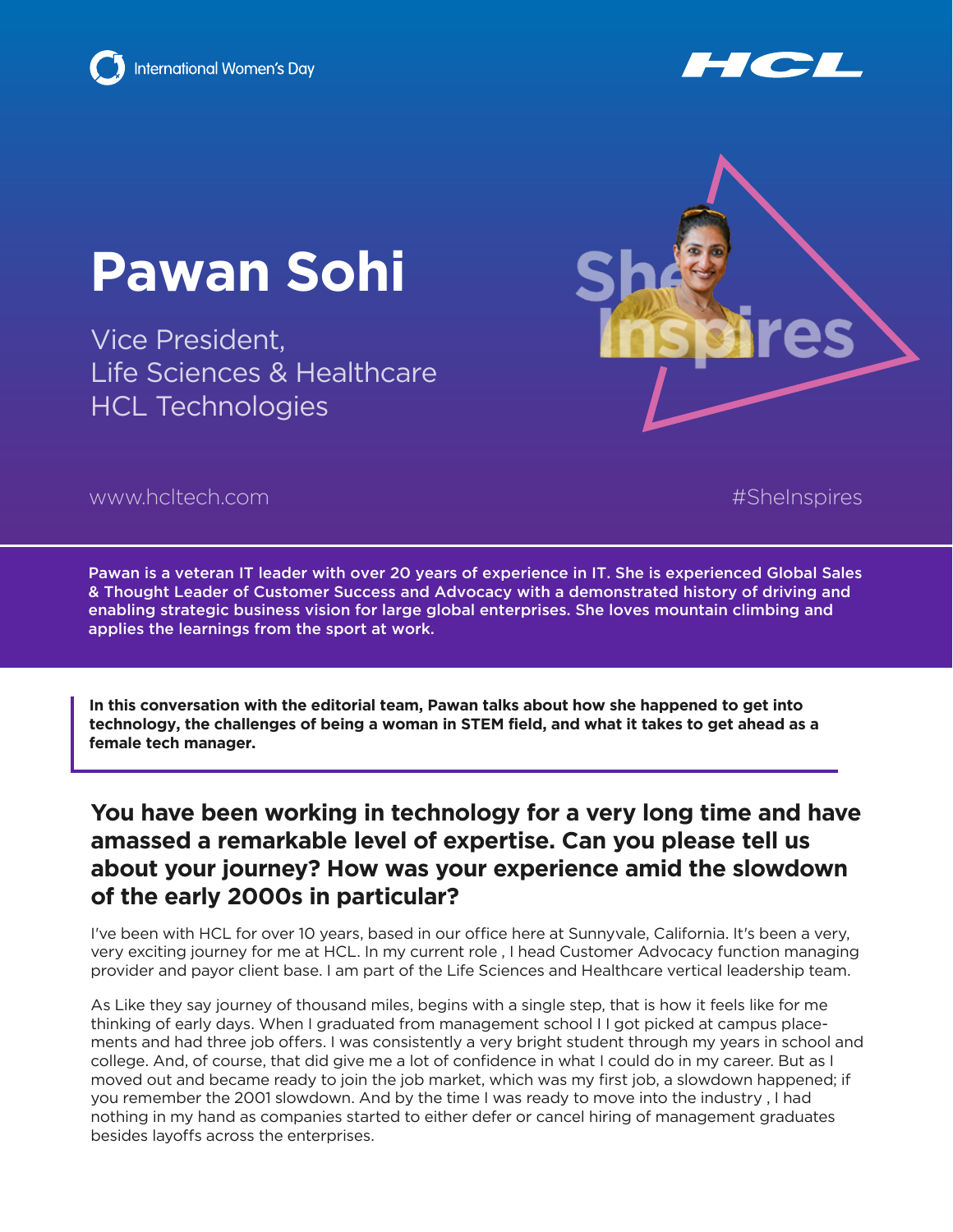





Vice President, Life Sciences & Healthcare HCL Technologies



www.hcltech.com #SheInspires

Pawan is a veteran IT leader with over 20 years of experience in IT. She is experienced Global Sales & Thought Leader of Customer Success and Advocacy with a demonstrated history of driving and enabling strategic business vision for large global enterprises. She loves mountain climbing and applies the learnings from the sport at work.

**In this conversation with the editorial team, Pawan talks about how she happened to get into technology, the challenges of being a woman in STEM field, and what it takes to get ahead as a female tech manager.**

#### **You have been working in technology for a very long time and have amassed a remarkable level of expertise. Can you please tell us about your journey? How was your experience amid the slowdown of the early 2000s in particular?**

I've been with HCL for over 10 years, based in our office here at Sunnyvale, California. It's been a very, very exciting journey for me at HCL. In my current role , I head Customer Advocacy function managing provider and payor client base. I am part of the Life Sciences and Healthcare vertical leadership team.

As Like they say journey of thousand miles, begins with a single step, that is how it feels like for me thinking of early days. When I graduated from management school I I got picked at campus placements and had three job offers. I was consistently a very bright student through my years in school and college. And, of course, that did give me a lot of confidence in what I could do in my career. But as I moved out and became ready to join the job market, which was my first job, a slowdown happened; if you remember the 2001 slowdown. And by the time I was ready to move into the industry , I had nothing in my hand as companies started to either defer or cancel hiring of management graduates besides layoffs across the enterprises.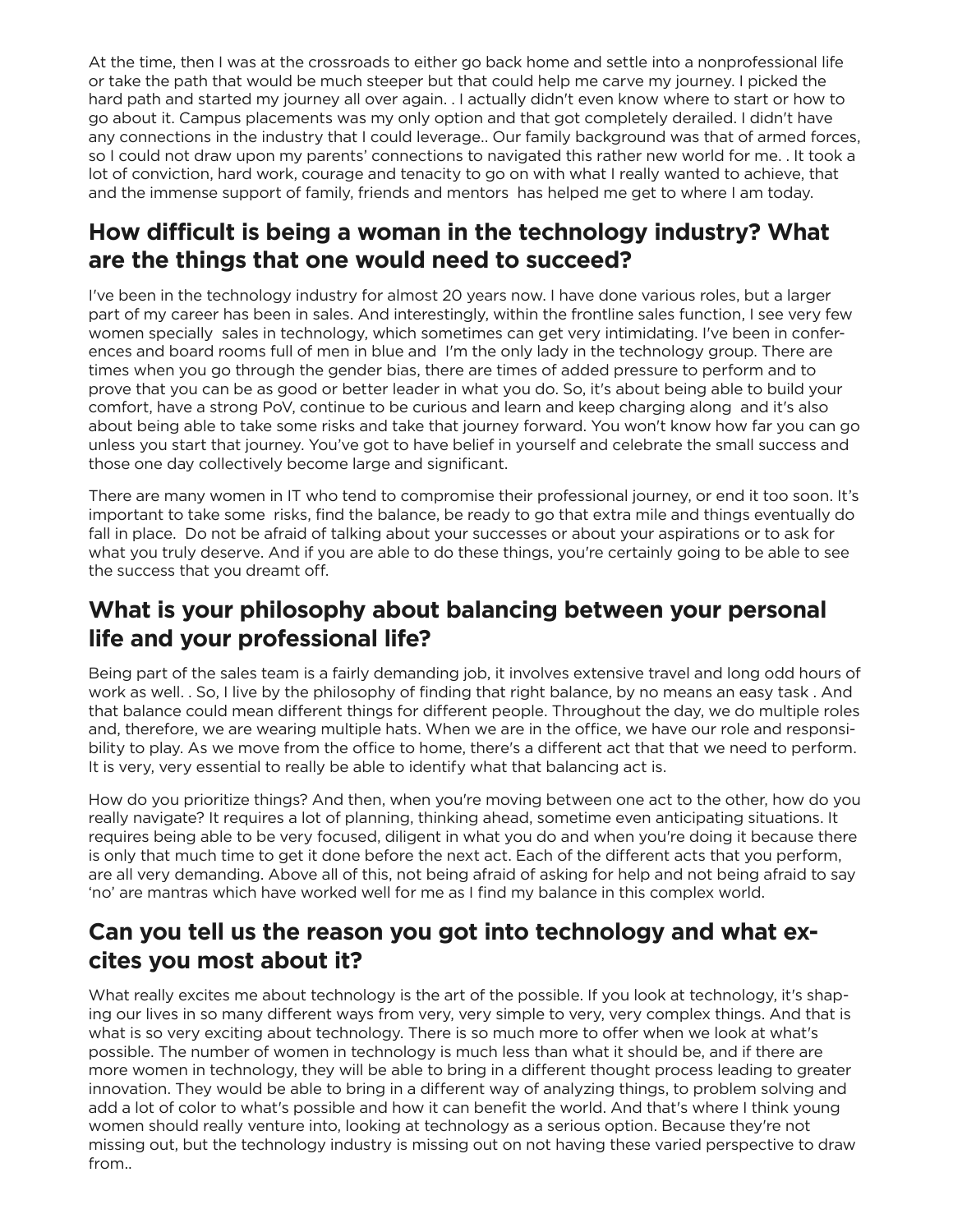At the time, then I was at the crossroads to either go back home and settle into a nonprofessional life or take the path that would be much steeper but that could help me carve my journey. I picked the hard path and started my journey all over again. . I actually didn't even know where to start or how to go about it. Campus placements was my only option and that got completely derailed. I didn't have any connections in the industry that I could leverage.. Our family background was that of armed forces, so I could not draw upon my parents' connections to navigated this rather new world for me. . It took a lot of conviction, hard work, courage and tenacity to go on with what I really wanted to achieve, that and the immense support of family, friends and mentors has helped me get to where I am today.

# **How difficult is being a woman in the technology industry? What are the things that one would need to succeed?**

I've been in the technology industry for almost 20 years now. I have done various roles, but a larger part of my career has been in sales. And interestingly, within the frontline sales function, I see very few women specially sales in technology, which sometimes can get very intimidating. I've been in conferences and board rooms full of men in blue and I'm the only lady in the technology group. There are times when you go through the gender bias, there are times of added pressure to perform and to prove that you can be as good or better leader in what you do. So, it's about being able to build your comfort, have a strong PoV, continue to be curious and learn and keep charging along and it's also about being able to take some risks and take that journey forward. You won't know how far you can go unless you start that journey. You've got to have belief in yourself and celebrate the small success and those one day collectively become large and significant.

There are many women in IT who tend to compromise their professional journey, or end it too soon. It's important to take some risks, find the balance, be ready to go that extra mile and things eventually do fall in place. Do not be afraid of talking about your successes or about your aspirations or to ask for what you truly deserve. And if you are able to do these things, you're certainly going to be able to see the success that you dreamt off.

# **What is your philosophy about balancing between your personal life and your professional life?**

Being part of the sales team is a fairly demanding job, it involves extensive travel and long odd hours of work as well. . So, I live by the philosophy of finding that right balance, by no means an easy task . And that balance could mean different things for different people. Throughout the day, we do multiple roles and, therefore, we are wearing multiple hats. When we are in the office, we have our role and responsibility to play. As we move from the office to home, there's a different act that that we need to perform. It is very, very essential to really be able to identify what that balancing act is.

How do you prioritize things? And then, when you're moving between one act to the other, how do you really navigate? It requires a lot of planning, thinking ahead, sometime even anticipating situations. It requires being able to be very focused, diligent in what you do and when you're doing it because there is only that much time to get it done before the next act. Each of the different acts that you perform, are all very demanding. Above all of this, not being afraid of asking for help and not being afraid to say 'no' are mantras which have worked well for me as I find my balance in this complex world.

# **Can you tell us the reason you got into technology and what excites you most about it?**

What really excites me about technology is the art of the possible. If you look at technology, it's shaping our lives in so many different ways from very, very simple to very, very complex things. And that is what is so very exciting about technology. There is so much more to offer when we look at what's possible. The number of women in technology is much less than what it should be, and if there are more women in technology, they will be able to bring in a different thought process leading to greater innovation. They would be able to bring in a different way of analyzing things, to problem solving and add a lot of color to what's possible and how it can benefit the world. And that's where I think young women should really venture into, looking at technology as a serious option. Because they're not missing out, but the technology industry is missing out on not having these varied perspective to draw from..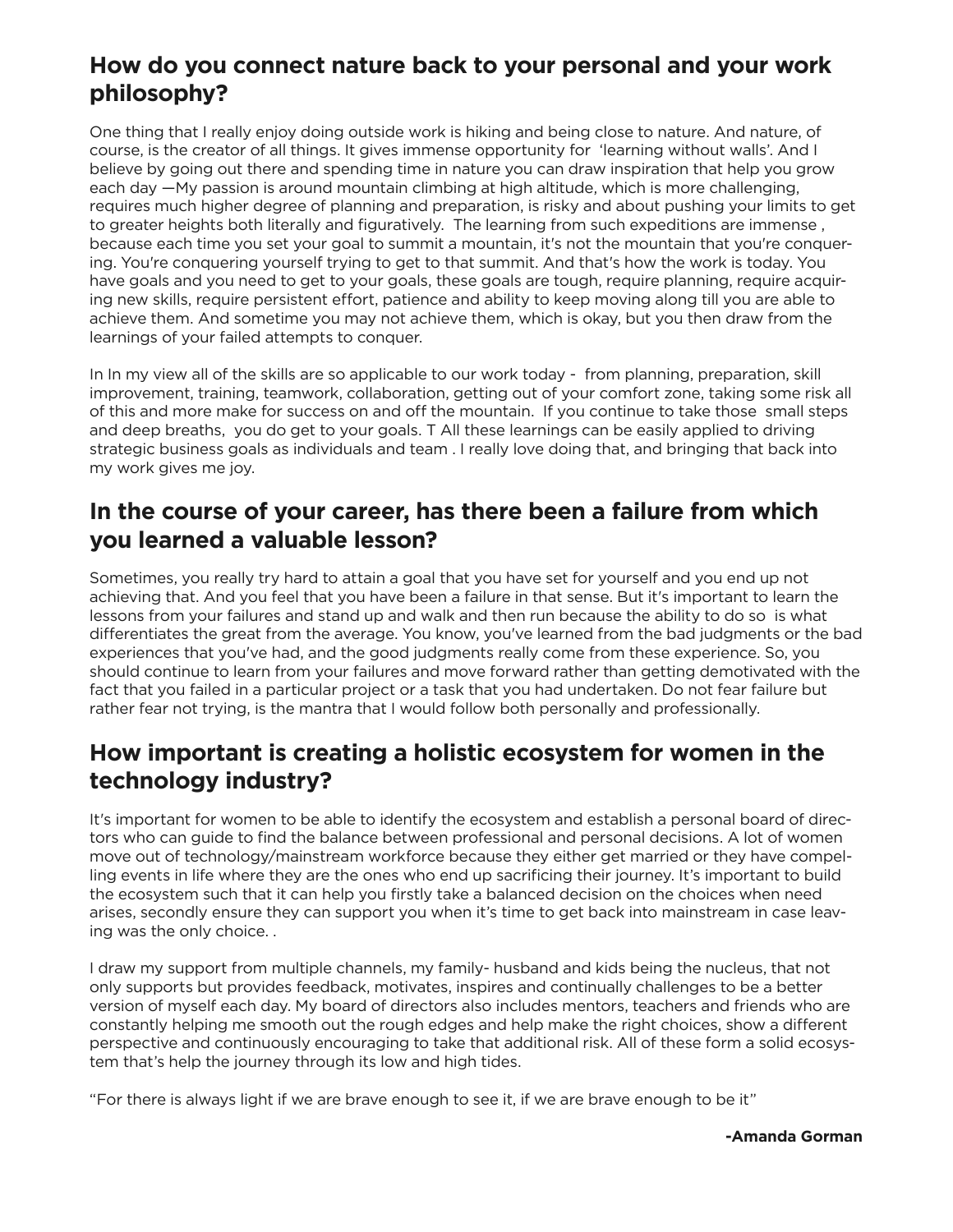#### **How do you connect nature back to your personal and your work philosophy?**

One thing that I really enjoy doing outside work is hiking and being close to nature. And nature, of course, is the creator of all things. It gives immense opportunity for 'learning without walls'. And I believe by going out there and spending time in nature you can draw inspiration that help you grow each day —My passion is around mountain climbing at high altitude, which is more challenging, requires much higher degree of planning and preparation, is risky and about pushing your limits to get to greater heights both literally and figuratively. The learning from such expeditions are immense , because each time you set your goal to summit a mountain, it's not the mountain that you're conquering. You're conquering yourself trying to get to that summit. And that's how the work is today. You have goals and you need to get to your goals, these goals are tough, require planning, require acquiring new skills, require persistent effort, patience and ability to keep moving along till you are able to achieve them. And sometime you may not achieve them, which is okay, but you then draw from the learnings of your failed attempts to conquer.

In In my view all of the skills are so applicable to our work today - from planning, preparation, skill improvement, training, teamwork, collaboration, getting out of your comfort zone, taking some risk all of this and more make for success on and off the mountain. If you continue to take those small steps and deep breaths, you do get to your goals. T All these learnings can be easily applied to driving strategic business goals as individuals and team . I really love doing that, and bringing that back into my work gives me joy.

#### **In the course of your career, has there been a failure from which you learned a valuable lesson?**

Sometimes, you really try hard to attain a goal that you have set for yourself and you end up not achieving that. And you feel that you have been a failure in that sense. But it's important to learn the lessons from your failures and stand up and walk and then run because the ability to do so is what differentiates the great from the average. You know, you've learned from the bad judgments or the bad experiences that you've had, and the good judgments really come from these experience. So, you should continue to learn from your failures and move forward rather than getting demotivated with the fact that you failed in a particular project or a task that you had undertaken. Do not fear failure but rather fear not trying, is the mantra that I would follow both personally and professionally.

# **How important is creating a holistic ecosystem for women in the technology industry?**

It's important for women to be able to identify the ecosystem and establish a personal board of directors who can guide to find the balance between professional and personal decisions. A lot of women move out of technology/mainstream workforce because they either get married or they have compelling events in life where they are the ones who end up sacrificing their journey. It's important to build the ecosystem such that it can help you firstly take a balanced decision on the choices when need arises, secondly ensure they can support you when it's time to get back into mainstream in case leaving was the only choice. .

I draw my support from multiple channels, my family- husband and kids being the nucleus, that not only supports but provides feedback, motivates, inspires and continually challenges to be a better version of myself each day. My board of directors also includes mentors, teachers and friends who are constantly helping me smooth out the rough edges and help make the right choices, show a different perspective and continuously encouraging to take that additional risk. All of these form a solid ecosystem that's help the journey through its low and high tides.

"For there is always light if we are brave enough to see it, if we are brave enough to be it"